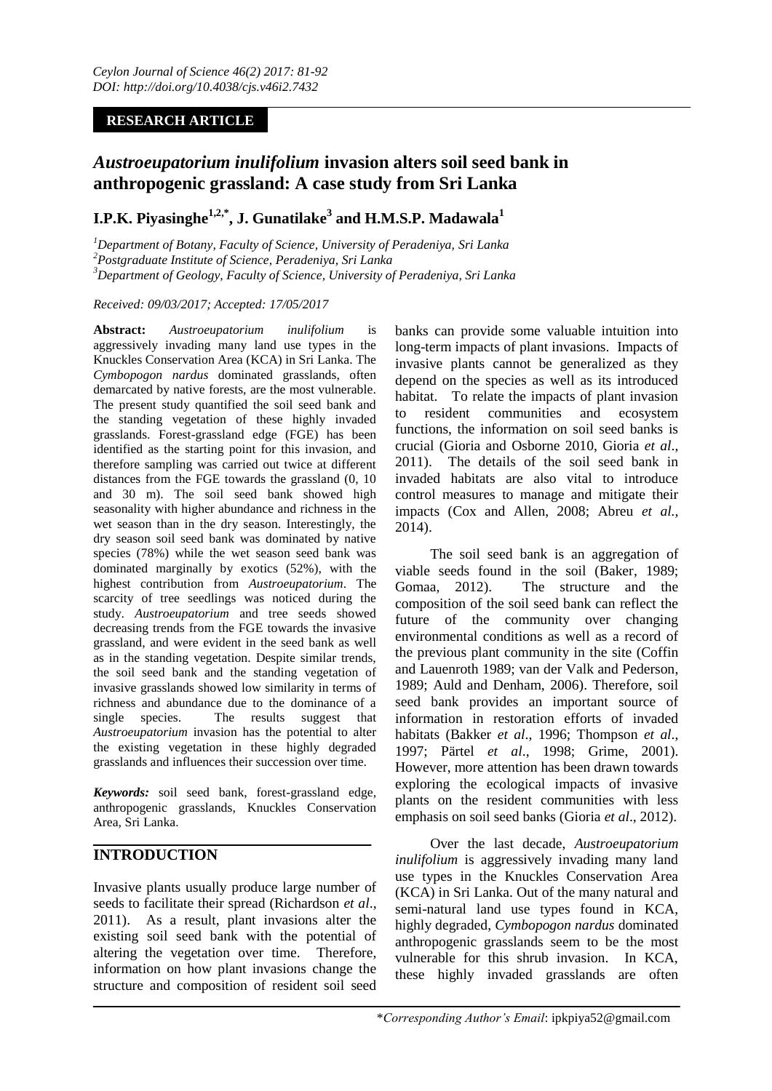## **RESEARCH ARTICLE**

# *Austroeupatorium inulifolium* **invasion alters soil seed bank in anthropogenic grassland: A case study from Sri Lanka**

## **I.P.K. Piyasinghe1,2,\* , J. Gunatilake<sup>3</sup> and H.M.S.P. Madawala<sup>1</sup>**

*<sup>1</sup>Department of Botany, Faculty of Science, University of Peradeniya, Sri Lanka <sup>2</sup>Postgraduate Institute of Science, Peradeniya, Sri Lanka <sup>3</sup>Department of Geology, Faculty of Science, University of Peradeniya, Sri Lanka*

### *Received: 09/03/2017; Accepted: 17/05/2017*

**Abstract:** *Austroeupatorium inulifolium* is aggressively invading many land use types in the Knuckles Conservation Area (KCA) in Sri Lanka. The *Cymbopogon nardus* dominated grasslands, often demarcated by native forests, are the most vulnerable. The present study quantified the soil seed bank and the standing vegetation of these highly invaded grasslands. Forest-grassland edge (FGE) has been identified as the starting point for this invasion, and therefore sampling was carried out twice at different distances from the FGE towards the grassland (0, 10 and 30 m). The soil seed bank showed high seasonality with higher abundance and richness in the wet season than in the dry season. Interestingly, the dry season soil seed bank was dominated by native species (78%) while the wet season seed bank was dominated marginally by exotics (52%), with the highest contribution from *Austroeupatorium*. The scarcity of tree seedlings was noticed during the study. *Austroeupatorium* and tree seeds showed decreasing trends from the FGE towards the invasive grassland, and were evident in the seed bank as well as in the standing vegetation. Despite similar trends, the soil seed bank and the standing vegetation of invasive grasslands showed low similarity in terms of richness and abundance due to the dominance of a single species. The results suggest that *Austroeupatorium* invasion has the potential to alter the existing vegetation in these highly degraded grasslands and influences their succession over time.

*Keywords:* soil seed bank, forest-grassland edge, anthropogenic grasslands, Knuckles Conservation Area*,* Sri Lanka.

## **INTRODUCTION**

Invasive plants usually produce large number of seeds to facilitate their spread (Richardson *et al*., 2011). As a result, plant invasions alter the existing soil seed bank with the potential of altering the vegetation over time. Therefore, information on how plant invasions change the structure and composition of resident soil seed banks can provide some valuable intuition into long-term impacts of plant invasions. Impacts of invasive plants cannot be generalized as they depend on the species as well as its introduced habitat. To relate the impacts of plant invasion to resident communities and ecosystem functions, the information on soil seed banks is crucial (Gioria and Osborne 2010, Gioria *et al*., 2011). The details of the soil seed bank in invaded habitats are also vital to introduce control measures to manage and mitigate their impacts (Cox and Allen, 2008; Abreu *et al.,* 2014).

The soil seed bank is an aggregation of viable seeds found in the soil (Baker, 1989; Gomaa, 2012). The structure and the composition of the soil seed bank can reflect the future of the community over changing environmental conditions as well as a record of the previous plant community in the site (Coffin and Lauenroth 1989; van der Valk and Pederson, 1989; Auld and Denham, 2006). Therefore, soil seed bank provides an important source of information in restoration efforts of invaded habitats (Bakker *et al*., 1996; Thompson *et al*., 1997; Pärtel *et al*., 1998; Grime, 2001). However, more attention has been drawn towards exploring the ecological impacts of invasive plants on the resident communities with less emphasis on soil seed banks (Gioria *et al*., 2012).

Over the last decade, *Austroeupatorium inulifolium* is aggressively invading many land use types in the Knuckles Conservation Area (KCA) in Sri Lanka. Out of the many natural and semi-natural land use types found in KCA, highly degraded, *Cymbopogon nardus* dominated anthropogenic grasslands seem to be the most vulnerable for this shrub invasion. In KCA, these highly invaded grasslands are often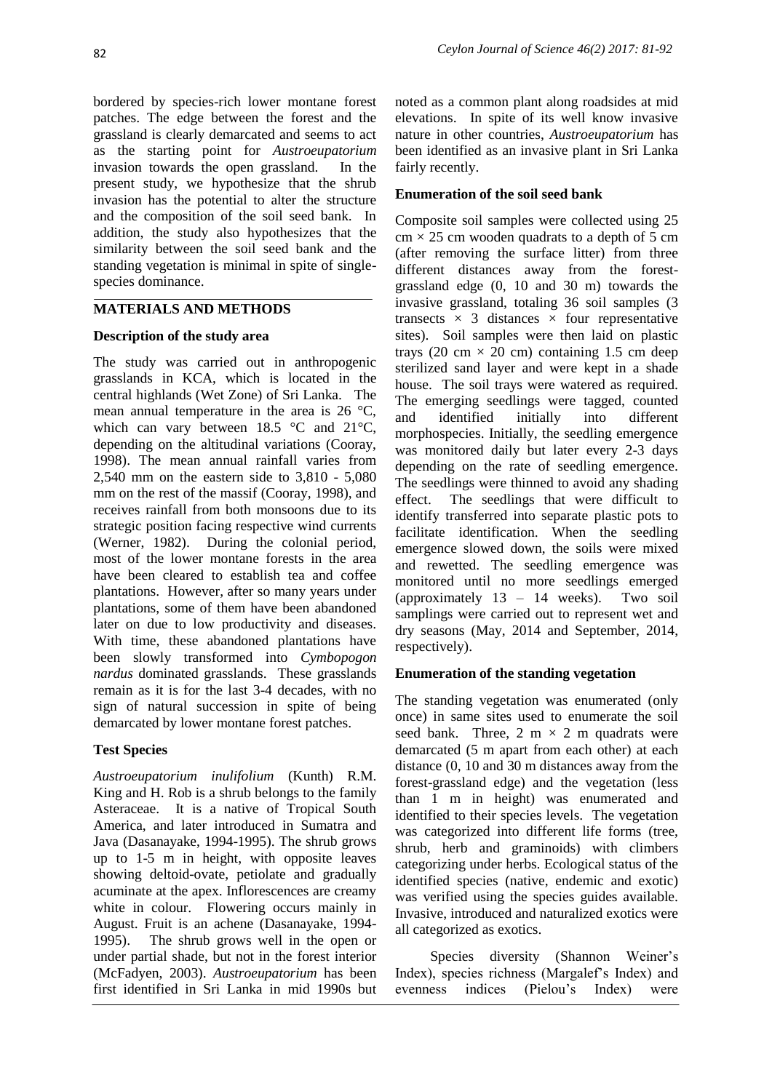bordered by species-rich lower montane forest patches. The edge between the forest and the grassland is clearly demarcated and seems to act as the starting point for *Austroeupatorium* invasion towards the open grassland. In the present study, we hypothesize that the shrub invasion has the potential to alter the structure and the composition of the soil seed bank. In addition, the study also hypothesizes that the similarity between the soil seed bank and the standing vegetation is minimal in spite of singlespecies dominance.

## **MATERIALS AND METHODS**

## **Description of the study area**

The study was carried out in anthropogenic grasslands in KCA, which is located in the central highlands (Wet Zone) of Sri Lanka. The mean annual temperature in the area is 26 °C, which can vary between 18.5 °C and 21°C, depending on the altitudinal variations (Cooray, 1998). The mean annual rainfall varies from 2,540 mm on the eastern side to 3,810 - 5,080 mm on the rest of the massif (Cooray, 1998), and receives rainfall from both monsoons due to its strategic position facing respective wind currents (Werner, 1982). During the colonial period, most of the lower montane forests in the area have been cleared to establish tea and coffee plantations. However, after so many years under plantations, some of them have been abandoned later on due to low productivity and diseases. With time, these abandoned plantations have been slowly transformed into *Cymbopogon nardus* dominated grasslands. These grasslands remain as it is for the last 3-4 decades, with no sign of natural succession in spite of being demarcated by lower montane forest patches.

## **Test Species**

*Austroeupatorium inulifolium* (Kunth) R.M. King and H. Rob is a shrub belongs to the family Asteraceae. It is a native of Tropical South America, and later introduced in Sumatra and Java (Dasanayake, 1994-1995). The shrub grows up to 1-5 m in height, with opposite leaves showing deltoid-ovate, petiolate and gradually acuminate at the apex. Inflorescences are creamy white in colour. Flowering occurs mainly in August. Fruit is an achene (Dasanayake, 1994- 1995). The shrub grows well in the open or under partial shade, but not in the forest interior (McFadyen, 2003). *Austroeupatorium* has been first identified in Sri Lanka in mid 1990s but

noted as a common plant along roadsides at mid elevations. In spite of its well know invasive nature in other countries, *Austroeupatorium* has been identified as an invasive plant in Sri Lanka fairly recently.

## **Enumeration of the soil seed bank**

Composite soil samples were collected using 25  $cm \times 25$  cm wooden quadrats to a depth of 5 cm (after removing the surface litter) from three different distances away from the forestgrassland edge (0, 10 and 30 m) towards the invasive grassland, totaling 36 soil samples (3 transects  $\times$  3 distances  $\times$  four representative sites). Soil samples were then laid on plastic trays (20 cm  $\times$  20 cm) containing 1.5 cm deep sterilized sand layer and were kept in a shade house. The soil trays were watered as required. The emerging seedlings were tagged, counted and identified initially into different morphospecies. Initially, the seedling emergence was monitored daily but later every 2-3 days depending on the rate of seedling emergence. The seedlings were thinned to avoid any shading effect. The seedlings that were difficult to identify transferred into separate plastic pots to facilitate identification. When the seedling emergence slowed down, the soils were mixed and rewetted. The seedling emergence was monitored until no more seedlings emerged (approximately 13 – 14 weeks). Two soil samplings were carried out to represent wet and dry seasons (May, 2014 and September, 2014, respectively).

## **Enumeration of the standing vegetation**

The standing vegetation was enumerated (only once) in same sites used to enumerate the soil seed bank. Three,  $2 \text{ m} \times 2 \text{ m}$  quadrats were demarcated (5 m apart from each other) at each distance (0, 10 and 30 m distances away from the forest-grassland edge) and the vegetation (less than 1 m in height) was enumerated and identified to their species levels. The vegetation was categorized into different life forms (tree, shrub, herb and graminoids) with climbers categorizing under herbs. Ecological status of the identified species (native, endemic and exotic) was verified using the species guides available. Invasive, introduced and naturalized exotics were all categorized as exotics.

Species diversity (Shannon Weiner's Index), species richness (Margalef's Index) and evenness indices (Pielou's Index) were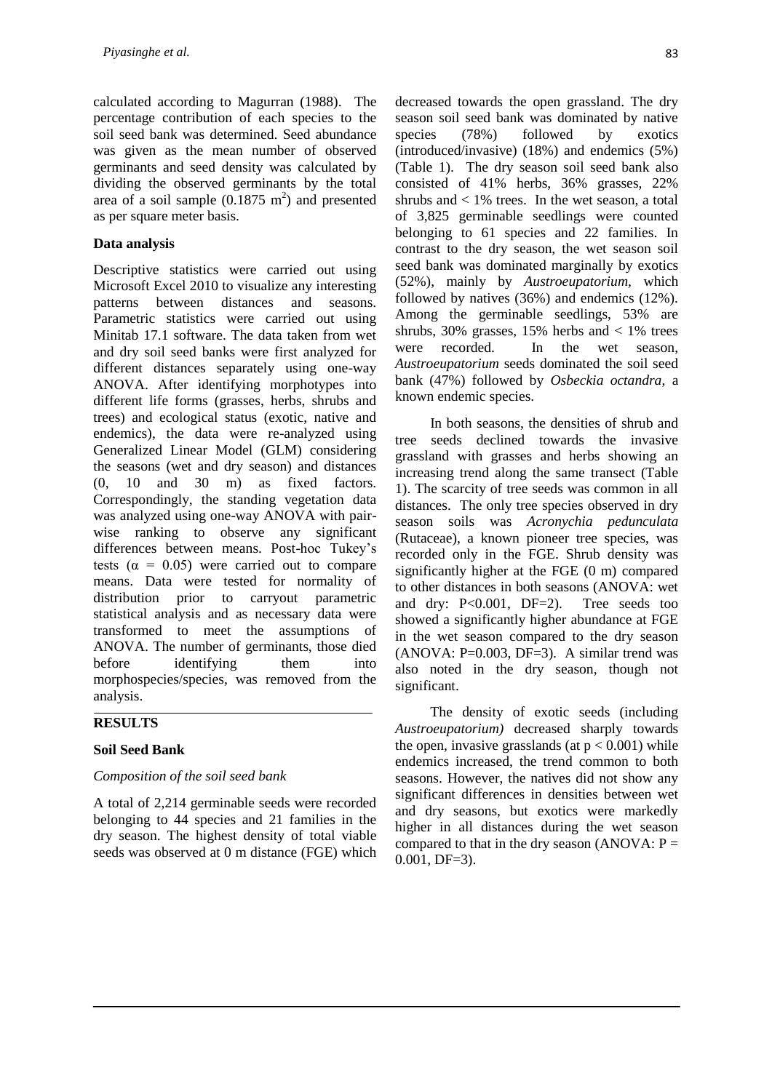calculated according to Magurran (1988). The percentage contribution of each species to the soil seed bank was determined. Seed abundance was given as the mean number of observed germinants and seed density was calculated by dividing the observed germinants by the total area of a soil sample  $(0.1875 \text{ m}^2)$  and presented as per square meter basis.

### **Data analysis**

Descriptive statistics were carried out using Microsoft Excel 2010 to visualize any interesting patterns between distances and seasons. Parametric statistics were carried out using Minitab 17.1 software. The data taken from wet and dry soil seed banks were first analyzed for different distances separately using one-way ANOVA. After identifying morphotypes into different life forms (grasses, herbs, shrubs and trees) and ecological status (exotic, native and endemics), the data were re-analyzed using Generalized Linear Model (GLM) considering the seasons (wet and dry season) and distances (0, 10 and 30 m) as fixed factors. Correspondingly, the standing vegetation data was analyzed using one-way ANOVA with pairwise ranking to observe any significant differences between means. Post-hoc Tukey's tests ( $\alpha$  = 0.05) were carried out to compare means. Data were tested for normality of distribution prior to carryout parametric statistical analysis and as necessary data were transformed to meet the assumptions of ANOVA. The number of germinants, those died before identifying them into morphospecies/species, was removed from the analysis.

### **RESULTS**

#### **Soil Seed Bank**

#### *Composition of the soil seed bank*

A total of 2,214 germinable seeds were recorded belonging to 44 species and 21 families in the dry season. The highest density of total viable seeds was observed at 0 m distance (FGE) which

decreased towards the open grassland. The dry season soil seed bank was dominated by native species (78%) followed by exotics (introduced/invasive) (18%) and endemics (5%) (Table 1). The dry season soil seed bank also consisted of 41% herbs, 36% grasses, 22% shrubs and  $< 1\%$  trees. In the wet season, a total of 3,825 germinable seedlings were counted belonging to 61 species and 22 families. In contrast to the dry season, the wet season soil seed bank was dominated marginally by exotics (52%), mainly by *Austroeupatorium,* which followed by natives (36%) and endemics (12%). Among the germinable seedlings, 53% are shrubs, 30% grasses, 15% herbs and  $\lt$  1% trees were recorded. In the wet season, *Austroeupatorium* seeds dominated the soil seed bank (47%) followed by *Osbeckia octandra*, a known endemic species.

In both seasons, the densities of shrub and tree seeds declined towards the invasive grassland with grasses and herbs showing an increasing trend along the same transect (Table 1). The scarcity of tree seeds was common in all distances. The only tree species observed in dry season soils was *Acronychia pedunculata*  (Rutaceae), a known pioneer tree species, was recorded only in the FGE. Shrub density was significantly higher at the FGE (0 m) compared to other distances in both seasons (ANOVA: wet and dry: P<0.001, DF=2). Tree seeds too showed a significantly higher abundance at FGE in the wet season compared to the dry season  $(ANOVA: P=0.003, DF=3)$ . A similar trend was also noted in the dry season, though not significant.

The density of exotic seeds (including *Austroeupatorium)* decreased sharply towards the open, invasive grasslands (at  $p < 0.001$ ) while endemics increased, the trend common to both seasons. However, the natives did not show any significant differences in densities between wet and dry seasons, but exotics were markedly higher in all distances during the wet season compared to that in the dry season (ANOVA:  $P =$  $0.001$ , DF=3).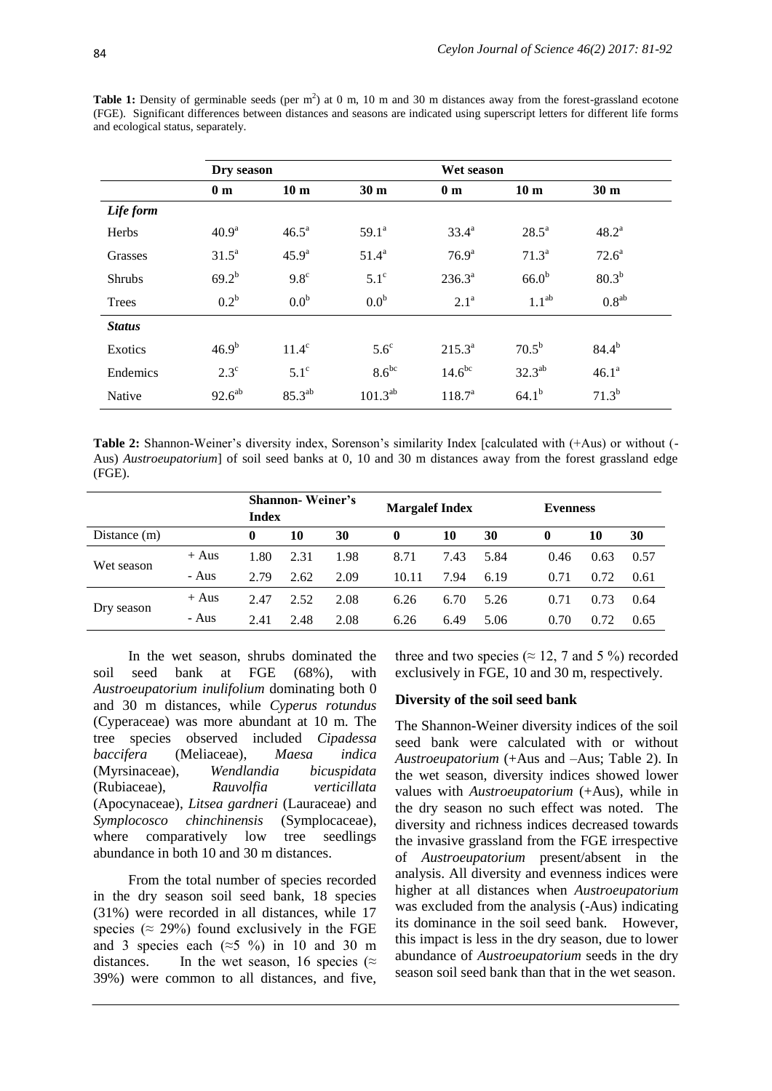**Table 1:** Density of germinable seeds (per  $m^2$ ) at 0 m, 10 m and 30 m distances away from the forest-grassland ecotone (FGE). Significant differences between distances and seasons are indicated using superscript letters for different life forms and ecological status, separately.

|               | Dry season        |                   |                  |                    | Wet season        |                   |  |  |  |
|---------------|-------------------|-------------------|------------------|--------------------|-------------------|-------------------|--|--|--|
|               | 0 <sub>m</sub>    | 10 <sub>m</sub>   | 30 <sub>m</sub>  | 0 <sub>m</sub>     | 10 <sub>m</sub>   | 30 <sub>m</sub>   |  |  |  |
| Life form     |                   |                   |                  |                    |                   |                   |  |  |  |
| Herbs         | 40.9 <sup>a</sup> | $46.5^{\circ}$    | $59.1^{\circ}$   | $33.4^a$           | $28.5^{\circ}$    | $48.2^a$          |  |  |  |
| Grasses       | $31.5^a$          | 45.9 <sup>a</sup> | $51.4^a$         | 76.9 <sup>a</sup>  | $71.3^a$          | $72.6^{\text{a}}$ |  |  |  |
| <b>Shrubs</b> | $69.2^{b}$        | $9.8^\circ$       | $5.1^\circ$      | $236.3^{a}$        | 66.0 <sup>b</sup> | $80.3^{b}$        |  |  |  |
| Trees         | $0.2^b$           | 0.0 <sup>b</sup>  | 0.0 <sup>b</sup> | $2.1^{\rm a}$      | 1.1 <sup>ab</sup> | $0.8^{ab}$        |  |  |  |
| <b>Status</b> |                   |                   |                  |                    |                   |                   |  |  |  |
| Exotics       | $46.9^{b}$        | $11.4^\circ$      | $5.6^\circ$      | $215.3^{a}$        | 70.5 <sup>b</sup> | $84.4^{b}$        |  |  |  |
| Endemics      | $2.3^{\circ}$     | $5.1^\circ$       | $8.6^{bc}$       | 14.6 <sup>bc</sup> | $32.3^{ab}$       | 46.1 <sup>a</sup> |  |  |  |
| Native        | $92.6^{ab}$       | $85.3^{ab}$       | $101.3^{ab}$     | $118.7^{\rm a}$    | $64.1^{b}$        | $71.3^{b}$        |  |  |  |

**Table 2:** Shannon-Weiner's diversity index, Sorenson's similarity Index [calculated with (+Aus) or without (- Aus) *Austroeupatorium*] of soil seed banks at 0, 10 and 30 m distances away from the forest grassland edge (FGE).

|                |         | <b>Shannon</b> -Weiner's |      |      | <b>Margalef Index</b> |      |      | <b>Evenness</b> |      |      |
|----------------|---------|--------------------------|------|------|-----------------------|------|------|-----------------|------|------|
|                |         | <b>Index</b>             |      |      |                       |      |      |                 |      |      |
| Distance $(m)$ |         | 0                        | 10   | 30   | $\mathbf{0}$          | 10   | 30   | $\bf{0}$        | 10   | 30   |
| Wet season     | $+$ Aus | 1.80                     | 2.31 | 1.98 | 8.71                  | 7.43 | 5.84 | 0.46            | 0.63 | 0.57 |
|                | - Aus   | 2.79                     | 2.62 | 2.09 | 10.11                 | 7.94 | 6.19 | 0.71            | 0.72 | 0.61 |
| Dry season     | $+$ Aus | 2.47                     | 2.52 | 2.08 | 6.26                  | 6.70 | 5.26 | 0.71            | 0.73 | 0.64 |
|                | - Aus   | 2.41                     | 2.48 | 2.08 | 6.26                  | 6.49 | 5.06 | 0.70            | 0.72 | 0.65 |

In the wet season, shrubs dominated the soil seed bank at FGE (68%), with *Austroeupatorium inulifolium* dominating both 0 and 30 m distances, while *Cyperus rotundus*  (Cyperaceae) was more abundant at 10 m. The tree species observed included *Cipadessa baccifera* (Meliaceae), *Maesa indica* (Myrsinaceae), *Wendlandia bicuspidata* (Rubiaceae), *Rauvolfia verticillata* (Apocynaceae), *Litsea gardneri* (Lauraceae) and *Symplocosco chinchinensis* (Symplocaceae), where comparatively low tree seedlings abundance in both 10 and 30 m distances.

From the total number of species recorded in the dry season soil seed bank, 18 species (31%) were recorded in all distances, while 17 species ( $\approx$  29%) found exclusively in the FGE and 3 species each ( $\approx$ 5 %) in 10 and 30 m distances. In the wet season, 16 species ( $\approx$ 39%) were common to all distances, and five, three and two species ( $\approx$  12, 7 and 5 %) recorded exclusively in FGE, 10 and 30 m, respectively.

#### **Diversity of the soil seed bank**

The Shannon-Weiner diversity indices of the soil seed bank were calculated with or without *Austroeupatorium* (+Aus and –Aus; Table 2). In the wet season, diversity indices showed lower values with *Austroeupatorium* (+Aus), while in the dry season no such effect was noted. The diversity and richness indices decreased towards the invasive grassland from the FGE irrespective of *Austroeupatorium* present/absent in the analysis. All diversity and evenness indices were higher at all distances when *Austroeupatorium*  was excluded from the analysis (-Aus) indicating its dominance in the soil seed bank. However, this impact is less in the dry season, due to lower abundance of *Austroeupatorium* seeds in the dry season soil seed bank than that in the wet season.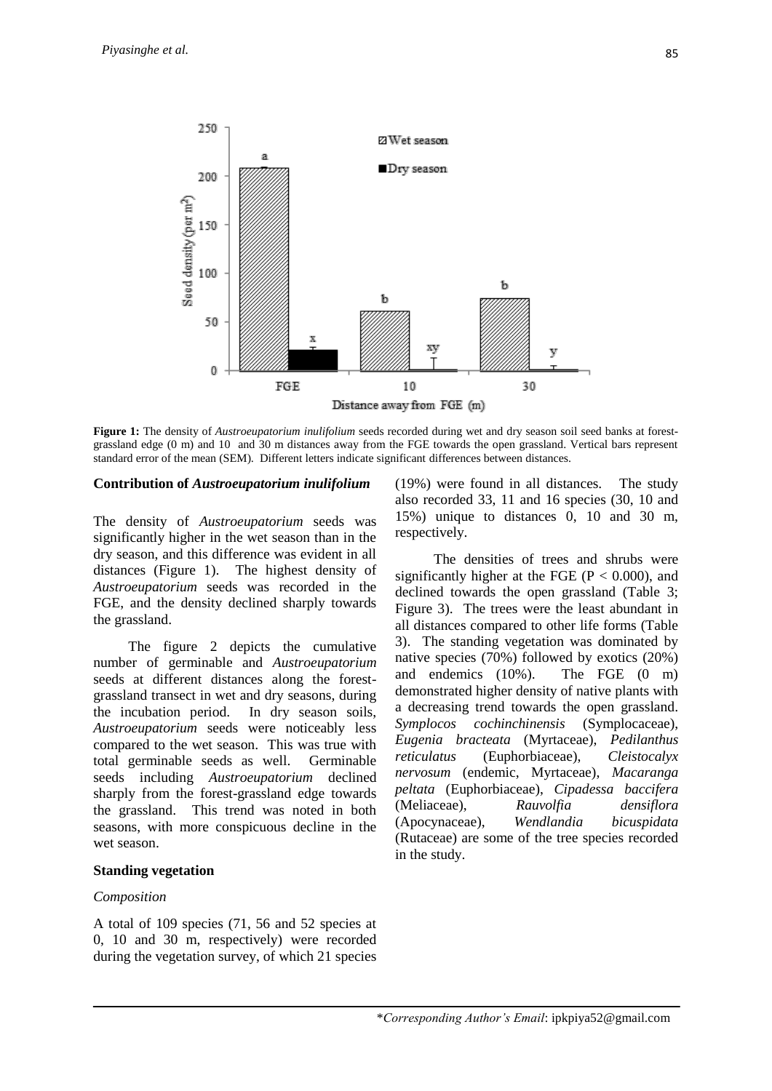

**Figure 1:** The density of *Austroeupatorium inulifolium* seeds recorded during wet and dry season soil seed banks at forestgrassland edge (0 m) and 10 and 30 m distances away from the FGE towards the open grassland. Vertical bars represent standard error of the mean (SEM). Different letters indicate significant differences between distances.

### **Contribution of** *Austroeupatorium inulifolium*

The density of *Austroeupatorium* seeds was significantly higher in the wet season than in the dry season, and this difference was evident in all distances (Figure 1). The highest density of *Austroeupatorium* seeds was recorded in the FGE, and the density declined sharply towards the grassland.

The figure 2 depicts the cumulative number of germinable and *Austroeupatorium* seeds at different distances along the forestgrassland transect in wet and dry seasons, during the incubation period. In dry season soils, *Austroeupatorium* seeds were noticeably less compared to the wet season. This was true with total germinable seeds as well. Germinable seeds including *Austroeupatorium* declined sharply from the forest-grassland edge towards the grassland. This trend was noted in both seasons, with more conspicuous decline in the wet season.

#### **Standing vegetation**

#### *Composition*

A total of 109 species (71, 56 and 52 species at 0, 10 and 30 m, respectively) were recorded during the vegetation survey, of which 21 species (19%) were found in all distances. The study also recorded 33, 11 and 16 species (30, 10 and 15%) unique to distances 0, 10 and 30 m, respectively.

The densities of trees and shrubs were significantly higher at the FGE ( $P < 0.000$ ), and declined towards the open grassland (Table 3; Figure 3). The trees were the least abundant in all distances compared to other life forms (Table 3). The standing vegetation was dominated by native species (70%) followed by exotics (20%) and endemics (10%). The FGE (0 m) demonstrated higher density of native plants with a decreasing trend towards the open grassland. *Symplocos cochinchinensis* (Symplocaceae), *Eugenia bracteata* (Myrtaceae), *Pedilanthus reticulatus* (Euphorbiaceae), *Cleistocalyx nervosum* (endemic, Myrtaceae), *Macaranga peltata* (Euphorbiaceae), *Cipadessa baccifera* (Meliaceae), *Rauvolfia densiflora* (Apocynaceae), *Wendlandia bicuspidata* (Rutaceae) are some of the tree species recorded in the study.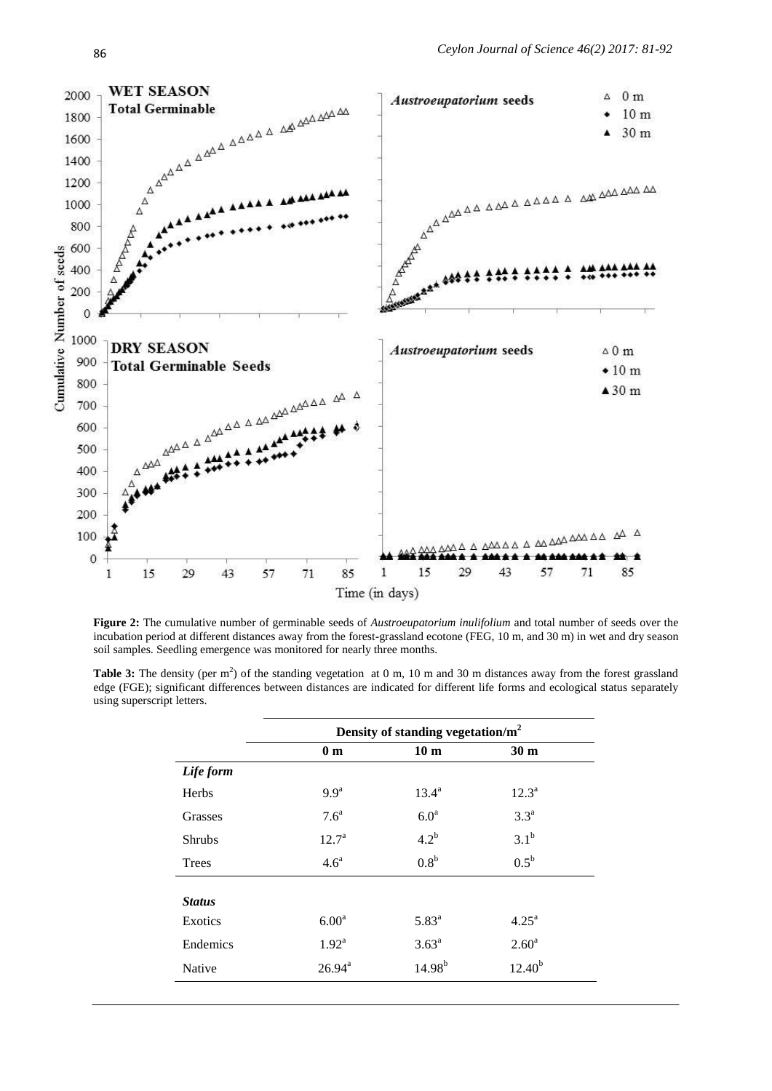

**Figure 2:** The cumulative number of germinable seeds of *Austroeupatorium inulifolium* and total number of seeds over the incubation period at different distances away from the forest-grassland ecotone (FEG, 10 m, and 30 m) in wet and dry season soil samples. Seedling emergence was monitored for nearly three months.

Table 3: The density (per m<sup>2</sup>) of the standing vegetation at 0 m, 10 m and 30 m distances away from the forest grassland edge (FGE); significant differences between distances are indicated for different life forms and ecological status separately using superscript letters.

|               | Density of standing vegetation/ $m2$ |                  |                    |  |  |  |  |  |
|---------------|--------------------------------------|------------------|--------------------|--|--|--|--|--|
|               | 0 <sub>m</sub>                       | 10 <sub>m</sub>  | 30 <sub>m</sub>    |  |  |  |  |  |
| Life form     |                                      |                  |                    |  |  |  |  |  |
| Herbs         | 9.9 <sup>a</sup>                     | $13.4^{\rm a}$   | $12.3^{\rm a}$     |  |  |  |  |  |
| Grasses       | 7.6 <sup>a</sup>                     | 6.0 <sup>a</sup> | $3.3^{\mathrm{a}}$ |  |  |  |  |  |
| <b>Shrubs</b> | $12.7^{\circ}$                       | $4.2^b$          | 3.1 <sup>b</sup>   |  |  |  |  |  |
| Trees         | 4.6 <sup>a</sup>                     | 0.8 <sup>b</sup> | $0.5^{\rm b}$      |  |  |  |  |  |
|               |                                      |                  |                    |  |  |  |  |  |
| <b>Status</b> |                                      |                  |                    |  |  |  |  |  |
| Exotics       | 6.00 <sup>a</sup>                    | $5.83^{\rm a}$   | $4.25^{\rm a}$     |  |  |  |  |  |
| Endemics      | $1.92^{\text{a}}$                    | $3.63^{\rm a}$   | 2.60 <sup>a</sup>  |  |  |  |  |  |
| Native        | $26.94^{\text{a}}$                   | $14.98^{b}$      | $12.40^{b}$        |  |  |  |  |  |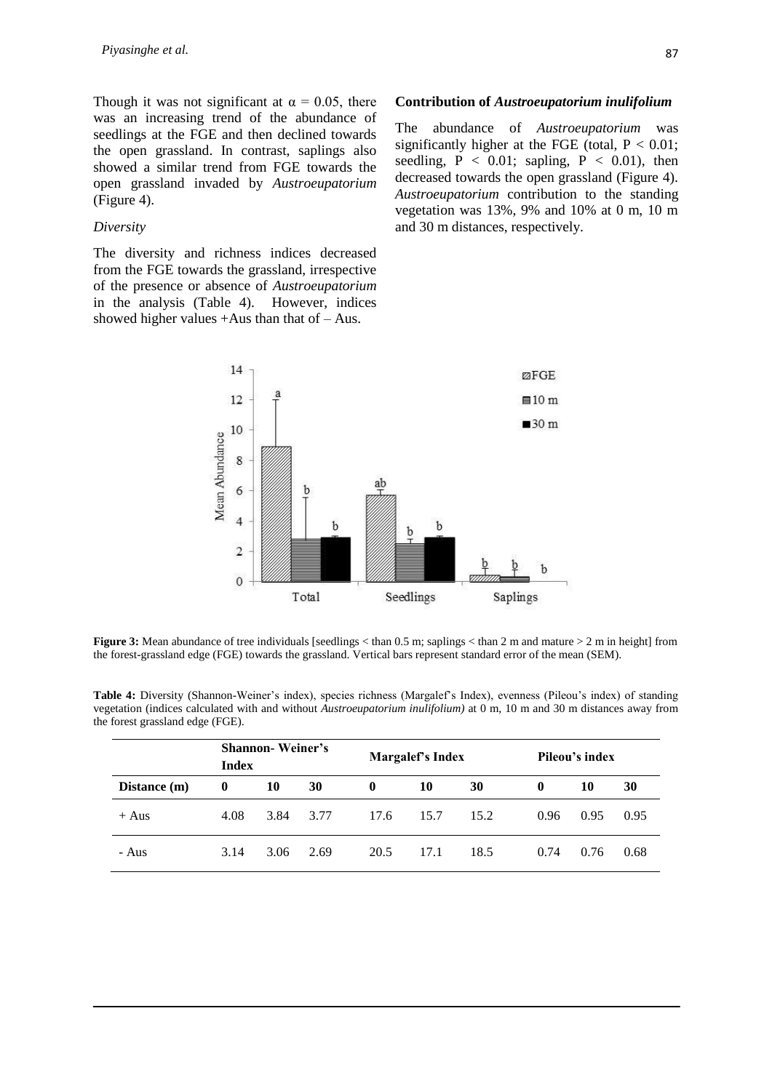Though it was not significant at  $\alpha = 0.05$ , there was an increasing trend of the abundance of seedlings at the FGE and then declined towards the open grassland. In contrast, saplings also showed a similar trend from FGE towards the open grassland invaded by *Austroeupatorium* (Figure 4).

#### *Diversity*

The diversity and richness indices decreased from the FGE towards the grassland, irrespective of the presence or absence of *Austroeupatorium*  in the analysis (Table 4).However, indices showed higher values  $+Aus$  than that of  $-Aus$ .

#### **Contribution of** *Austroeupatorium inulifolium*

The abundance of *Austroeupatorium* was significantly higher at the FGE (total,  $P < 0.01$ ; seedling,  $P < 0.01$ ; sapling,  $P < 0.01$ ), then decreased towards the open grassland (Figure 4). *Austroeupatorium* contribution to the standing vegetation was 13%, 9% and 10% at 0 m, 10 m and 30 m distances, respectively.



**Figure 3:** Mean abundance of tree individuals [seedlings < than 0.5 m; saplings < than 2 m and mature > 2 m in height] from the forest-grassland edge (FGE) towards the grassland. Vertical bars represent standard error of the mean (SEM).

| $\mathbf{Channon}$ $\mathbf{Woinov}$                                                                                            |  |
|---------------------------------------------------------------------------------------------------------------------------------|--|
| the forest grassland edge (FGE).                                                                                                |  |
| vegetation (indices calculated with and without <i>Austroeupatorium inulifolium</i> ) at 0 m, 10 m and 30 m distances away from |  |

**Table 4:** Diversity (Shannon-Weiner's index), species richness (Margalef's Index), evenness (Pileou's index) of standing

|              | <b>Shannon</b> -Weiner's<br>Index |      |      |          | Margalef's Index |      |              | Pileou's index |      |  |
|--------------|-----------------------------------|------|------|----------|------------------|------|--------------|----------------|------|--|
| Distance (m) | $\bf{0}$                          | 10   | 30   | $\bf{0}$ | 10               | 30   | $\mathbf{0}$ | 10             | 30   |  |
| $+$ Aus      | 4.08                              | 3.84 | 3.77 | 17.6     | 15.7             | 15.2 | 0.96         | 0.95           | 0.95 |  |
| - Aus        | 3.14                              | 3.06 | 2.69 | 20.5     | 17.1             | 18.5 | 0.74         | 0.76           | 0.68 |  |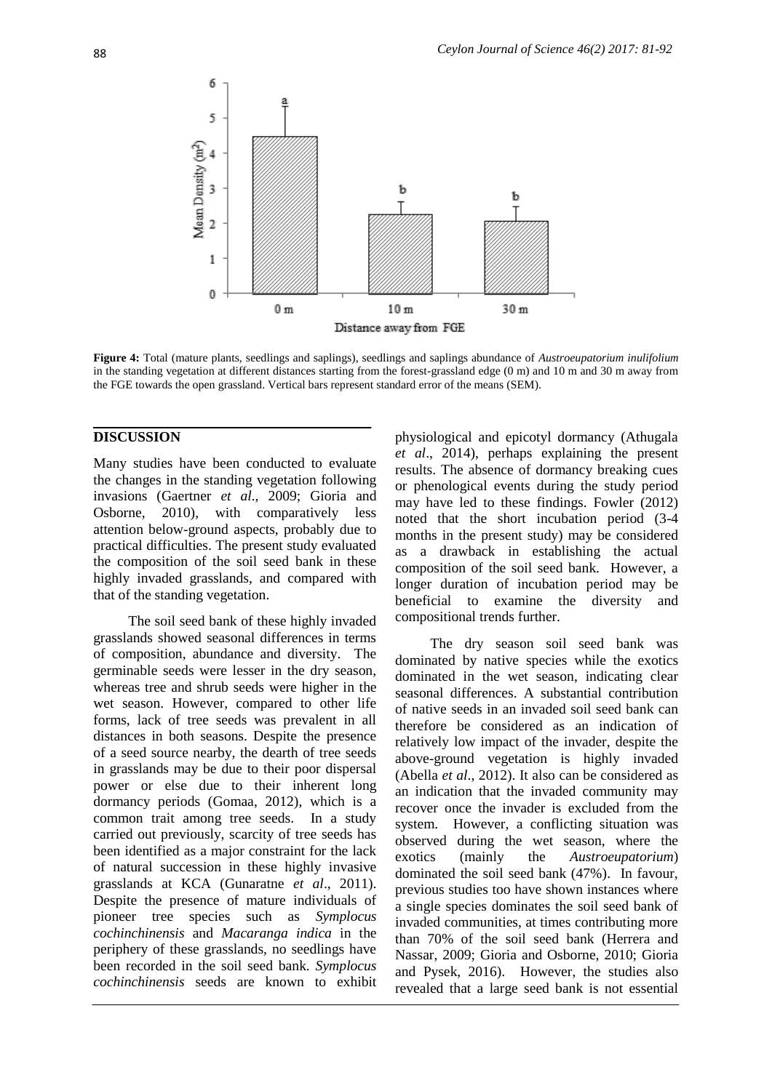

**Figure 4:** Total (mature plants, seedlings and saplings), seedlings and saplings abundance of *Austroeupatorium inulifolium* in the standing vegetation at different distances starting from the forest-grassland edge (0 m) and 10 m and 30 m away from the FGE towards the open grassland. Vertical bars represent standard error of the means (SEM).

### **DISCUSSION**

Many studies have been conducted to evaluate the changes in the standing vegetation following invasions (Gaertner *et al*., 2009; Gioria and Osborne, 2010), with comparatively less attention below-ground aspects, probably due to practical difficulties. The present study evaluated the composition of the soil seed bank in these highly invaded grasslands, and compared with that of the standing vegetation.

The soil seed bank of these highly invaded grasslands showed seasonal differences in terms of composition, abundance and diversity. The germinable seeds were lesser in the dry season, whereas tree and shrub seeds were higher in the wet season. However, compared to other life forms, lack of tree seeds was prevalent in all distances in both seasons. Despite the presence of a seed source nearby, the dearth of tree seeds in grasslands may be due to their poor dispersal power or else due to their inherent long dormancy periods (Gomaa, 2012), which is a common trait among tree seeds. In a study carried out previously, scarcity of tree seeds has been identified as a major constraint for the lack of natural succession in these highly invasive grasslands at KCA (Gunaratne *et al*., 2011). Despite the presence of mature individuals of pioneer tree species such as *Symplocus cochinchinensis* and *Macaranga indica* in the periphery of these grasslands, no seedlings have been recorded in the soil seed bank. *Symplocus cochinchinensis* seeds are known to exhibit physiological and epicotyl dormancy (Athugala *et al*., 2014), perhaps explaining the present results. The absence of dormancy breaking cues or phenological events during the study period may have led to these findings. Fowler (2012) noted that the short incubation period (3-4 months in the present study) may be considered as a drawback in establishing the actual composition of the soil seed bank. However, a longer duration of incubation period may be beneficial to examine the diversity and compositional trends further.

The dry season soil seed bank was dominated by native species while the exotics dominated in the wet season, indicating clear seasonal differences. A substantial contribution of native seeds in an invaded soil seed bank can therefore be considered as an indication of relatively low impact of the invader, despite the above-ground vegetation is highly invaded (Abella *et al*., 2012). It also can be considered as an indication that the invaded community may recover once the invader is excluded from the system. However, a conflicting situation was observed during the wet season, where the exotics (mainly the *Austroeupatorium*) dominated the soil seed bank (47%). In favour, previous studies too have shown instances where a single species dominates the soil seed bank of invaded communities, at times contributing more than 70% of the soil seed bank (Herrera and Nassar, 2009; Gioria and Osborne, 2010; Gioria and Pysek, 2016). However, the studies also revealed that a large seed bank is not essential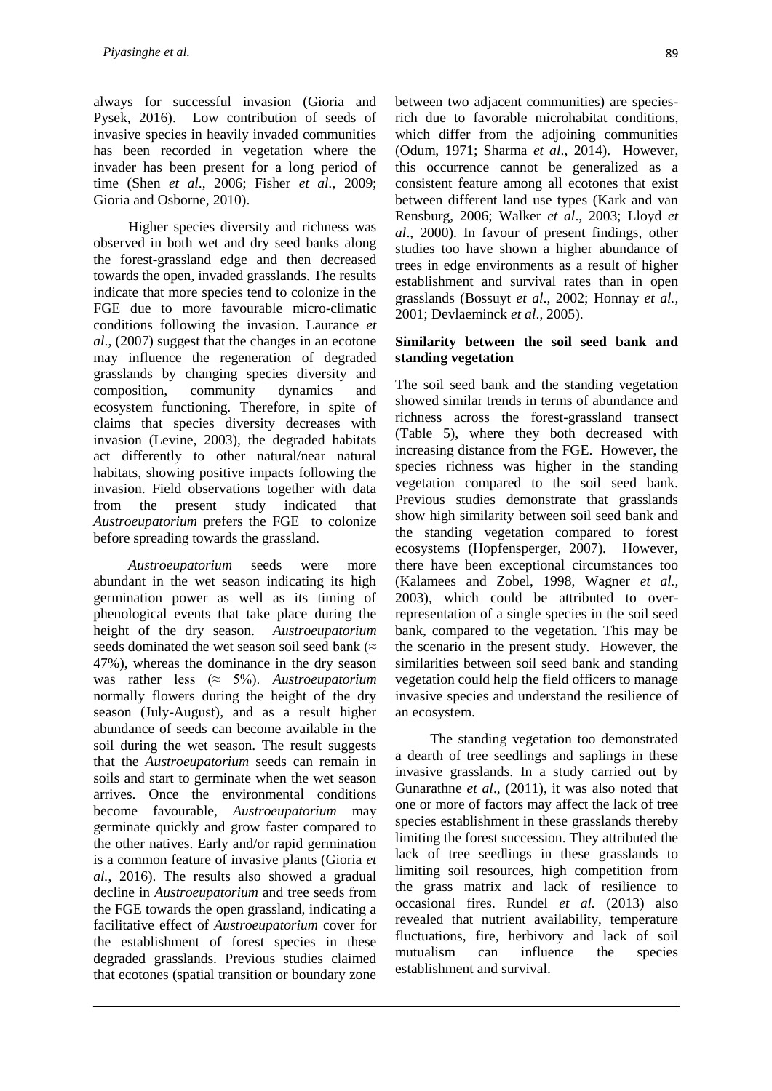always for successful invasion (Gioria and Pysek, 2016). Low contribution of seeds of invasive species in heavily invaded communities has been recorded in vegetation where the invader has been present for a long period of time (Shen *et al*., 2006; Fisher *et al.,* 2009; Gioria and Osborne, 2010).

Higher species diversity and richness was observed in both wet and dry seed banks along the forest-grassland edge and then decreased towards the open, invaded grasslands. The results indicate that more species tend to colonize in the FGE due to more favourable micro-climatic conditions following the invasion. Laurance *et al*., (2007) suggest that the changes in an ecotone may influence the regeneration of degraded grasslands by changing species diversity and composition, community dynamics and ecosystem functioning. Therefore, in spite of claims that species diversity decreases with invasion (Levine, 2003), the degraded habitats act differently to other natural/near natural habitats, showing positive impacts following the invasion. Field observations together with data from the present study indicated that *Austroeupatorium* prefers the FGE to colonize before spreading towards the grassland.

*Austroeupatorium* seeds were more abundant in the wet season indicating its high germination power as well as its timing of phenological events that take place during the height of the dry season. *Austroeupatorium* seeds dominated the wet season soil seed bank ( $\approx$ 47%), whereas the dominance in the dry season was rather less (≈ 5%). *Austroeupatorium* normally flowers during the height of the dry season (July-August), and as a result higher abundance of seeds can become available in the soil during the wet season. The result suggests that the *Austroeupatorium* seeds can remain in soils and start to germinate when the wet season arrives. Once the environmental conditions become favourable, *Austroeupatorium* may germinate quickly and grow faster compared to the other natives. Early and/or rapid germination is a common feature of invasive plants (Gioria *et al.*, 2016). The results also showed a gradual decline in *Austroeupatorium* and tree seeds from the FGE towards the open grassland, indicating a facilitative effect of *Austroeupatorium* cover for the establishment of forest species in these degraded grasslands. Previous studies claimed that ecotones (spatial transition or boundary zone

between two adjacent communities) are speciesrich due to favorable microhabitat conditions, which differ from the adjoining communities (Odum, 1971; Sharma *et al*., 2014). However, this occurrence cannot be generalized as a consistent feature among all ecotones that exist between different land use types (Kark and van Rensburg, 2006; Walker *et al*., 2003; Lloyd *et al*., 2000). In favour of present findings, other studies too have shown a higher abundance of trees in edge environments as a result of higher establishment and survival rates than in open grasslands (Bossuyt *et al*., 2002; Honnay *et al.,* 2001; Devlaeminck *et al*., 2005).

### **Similarity between the soil seed bank and standing vegetation**

The soil seed bank and the standing vegetation showed similar trends in terms of abundance and richness across the forest-grassland transect (Table 5), where they both decreased with increasing distance from the FGE. However, the species richness was higher in the standing vegetation compared to the soil seed bank. Previous studies demonstrate that grasslands show high similarity between soil seed bank and the standing vegetation compared to forest ecosystems (Hopfensperger, 2007). However, there have been exceptional circumstances too (Kalamees and Zobel, 1998, Wagner *et al.,* 2003), which could be attributed to overrepresentation of a single species in the soil seed bank, compared to the vegetation. This may be the scenario in the present study. However, the similarities between soil seed bank and standing vegetation could help the field officers to manage invasive species and understand the resilience of an ecosystem.

The standing vegetation too demonstrated a dearth of tree seedlings and saplings in these invasive grasslands. In a study carried out by Gunarathne *et al*., (2011), it was also noted that one or more of factors may affect the lack of tree species establishment in these grasslands thereby limiting the forest succession. They attributed the lack of tree seedlings in these grasslands to limiting soil resources, high competition from the grass matrix and lack of resilience to occasional fires. Rundel *et al.* (2013) also revealed that nutrient availability, temperature fluctuations, fire, herbivory and lack of soil mutualism can influence the species establishment and survival.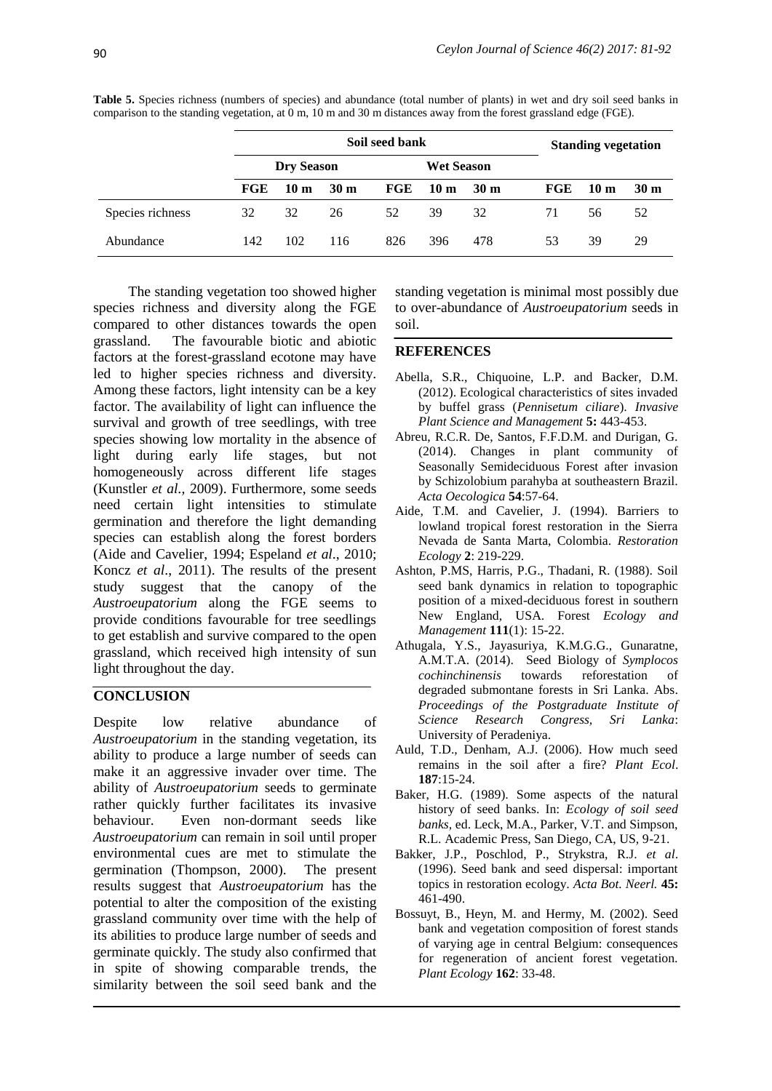|                  | Soil seed bank    |      |                 |                   |                 |                 | <b>Standing vegetation</b> |                 |                 |
|------------------|-------------------|------|-----------------|-------------------|-----------------|-----------------|----------------------------|-----------------|-----------------|
|                  | <b>Dry Season</b> |      |                 | <b>Wet Season</b> |                 |                 |                            |                 |                 |
|                  | FGE               | 10 m | 30 <sub>m</sub> | $_{\rm \bf FGE}$  | 10 <sub>m</sub> | 30 <sub>m</sub> | FGE                        | 10 <sub>m</sub> | 30 <sub>m</sub> |
| Species richness | 32                | 32   | 26              | 52                | 39              | 32              | 71                         | 56              | 52              |
| Abundance        | 142               | 102  | 116             | 826               | 396             | 478             | 53                         | 39              | 29              |

**Table 5.** Species richness (numbers of species) and abundance (total number of plants) in wet and dry soil seed banks in comparison to the standing vegetation, at 0 m, 10 m and 30 m distances away from the forest grassland edge (FGE).

The standing vegetation too showed higher species richness and diversity along the FGE compared to other distances towards the open grassland. The favourable biotic and abiotic factors at the forest-grassland ecotone may have led to higher species richness and diversity. Among these factors, light intensity can be a key factor. The availability of light can influence the survival and growth of tree seedlings, with tree species showing low mortality in the absence of light during early life stages, but not homogeneously across different life stages (Kunstler *et al.,* 2009). Furthermore, some seeds need certain light intensities to stimulate germination and therefore the light demanding species can establish along the forest borders (Aide and Cavelier, 1994; Espeland *et al*., 2010; Koncz *et al*., 2011). The results of the present study suggest that the canopy of the *Austroeupatorium* along the FGE seems to provide conditions favourable for tree seedlings to get establish and survive compared to the open grassland, which received high intensity of sun light throughout the day.

### **CONCLUSION**

Despite low relative abundance of *Austroeupatorium* in the standing vegetation, its ability to produce a large number of seeds can make it an aggressive invader over time. The ability of *Austroeupatorium* seeds to germinate rather quickly further facilitates its invasive behaviour. Even non-dormant seeds like *Austroeupatorium* can remain in soil until proper environmental cues are met to stimulate the germination (Thompson, 2000). The present results suggest that *Austroeupatorium* has the potential to alter the composition of the existing grassland community over time with the help of its abilities to produce large number of seeds and germinate quickly. The study also confirmed that in spite of showing comparable trends, the similarity between the soil seed bank and the

standing vegetation is minimal most possibly due to over-abundance of *Austroeupatorium* seeds in soil.

### **REFERENCES**

- Abella, S.R., Chiquoine, L.P. and Backer, D.M. (2012). Ecological characteristics of sites invaded by buffel grass (*Pennisetum ciliare*). *Invasive Plant Science and Management* **5:** 443-453.
- Abreu, R.C.R. De, Santos, F.F.D.M. and Durigan, G. (2014). Changes in plant community of Seasonally Semideciduous Forest after invasion by Schizolobium parahyba at southeastern Brazil. *Acta Oecologica* **54**:57-64.
- Aide, T.M. and Cavelier, J. (1994). Barriers to lowland tropical forest restoration in the Sierra Nevada de Santa Marta, Colombia. *Restoration Ecology* **2**: 219-229.
- Ashton, P.MS, Harris, P.G., Thadani, R. (1988). Soil seed bank dynamics in relation to topographic position of a mixed-deciduous forest in southern New England, USA. Forest *Ecology and Management* **111**(1): 15-22.
- Athugala, Y.S., Jayasuriya, K.M.G.G., Gunaratne, A.M.T.A. (2014). Seed Biology of *Symplocos cochinchinensis* towards reforestation of degraded submontane forests in Sri Lanka. Abs. *Proceedings of the Postgraduate Institute of Science Research Congress, Sri Lanka*: University of Peradeniya.
- Auld, T.D., Denham, A.J. (2006). How much seed remains in the soil after a fire? *Plant Ecol*. **187**:15-24.
- Baker, H.G. (1989). Some aspects of the natural history of seed banks. In: *Ecology of soil seed banks,* ed. Leck, M.A., Parker, V.T. and Simpson, R.L. Academic Press, San Diego, CA, US, 9-21.
- Bakker, J.P., Poschlod, P., Strykstra, R.J. *et al*. (1996). Seed bank and seed dispersal: important topics in restoration ecology. *Acta Bot. Neerl.* **45:** 461-490.
- Bossuyt, B., Heyn, M. and Hermy, M. (2002). Seed bank and vegetation composition of forest stands of varying age in central Belgium: consequences for regeneration of ancient forest vegetation. *Plant Ecology* **162**: 33-48.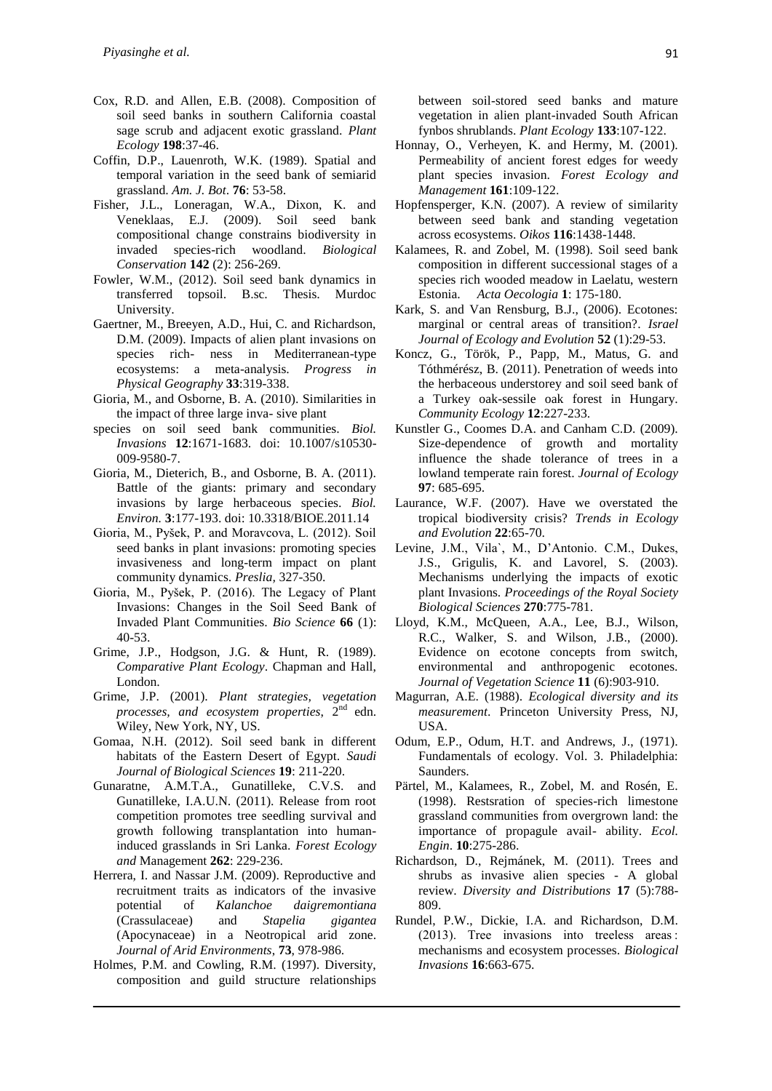- Cox, R.D. and Allen, E.B. (2008). Composition of soil seed banks in southern California coastal sage scrub and adjacent exotic grassland. *Plant Ecology* **198**:37-46.
- Coffin, D.P., Lauenroth, W.K. (1989). Spatial and temporal variation in the seed bank of semiarid grassland. *Am. J. Bot*. **76**: 53-58.
- Fisher, J.L., Loneragan, W.A., Dixon, K. and Veneklaas, E.J. (2009). Soil seed bank compositional change constrains biodiversity in invaded species-rich woodland. *Biological Conservation* **142** (2): 256-269.
- Fowler, W.M., (2012). Soil seed bank dynamics in transferred topsoil. B.sc. Thesis. Murdoc University.
- Gaertner, M., Breeyen, A.D., Hui, C. and Richardson, D.M. (2009). Impacts of alien plant invasions on species rich- ness in Mediterranean-type ecosystems: a meta-analysis. *Progress in Physical Geography* **33**:319-338.
- Gioria, M., and Osborne, B. A. (2010). Similarities in the impact of three large inva- sive plant
- species on soil seed bank communities. *Biol. Invasions* **12**:1671-1683. doi: 10.1007/s10530- 009-9580-7.
- Gioria, M., Dieterich, B., and Osborne, B. A. (2011). Battle of the giants: primary and secondary invasions by large herbaceous species. *Biol. Environ.* **3**:177-193. doi: 10.3318/BIOE.2011.14
- Gioria, M., Pyšek, P. and Moravcova, L. (2012). Soil seed banks in plant invasions: promoting species invasiveness and long-term impact on plant community dynamics. *Preslia,* 327-350.
- Gioria, M., Pyšek, P. (2016). The Legacy of Plant Invasions: Changes in the Soil Seed Bank of Invaded Plant Communities. *Bio Science* **66** (1): 40-53.
- Grime, J.P., Hodgson, J.G. & Hunt, R. (1989). *Comparative Plant Ecology*. Chapman and Hall, London.
- Grime, J.P. (2001). *Plant strategies, vegetation processes, and ecosystem properties*, 2nd edn. Wiley, New York, NY, US.
- Gomaa, N.H. (2012). Soil seed bank in different habitats of the Eastern Desert of Egypt. *Saudi Journal of Biological Sciences* **19**: 211-220.
- Gunaratne, A.M.T.A., Gunatilleke, C.V.S. and Gunatilleke, I.A.U.N. (2011). Release from root competition promotes tree seedling survival and growth following transplantation into humaninduced grasslands in Sri Lanka. *Forest Ecology and* Management **262**: 229-236.
- Herrera, I. and Nassar J.M. (2009). Reproductive and recruitment traits as indicators of the invasive potential of *Kalanchoe daigremontiana* (Crassulaceae) and *Stapelia gigantea* (Apocynaceae) in a Neotropical arid zone. *Journal of Arid Environments*, **73**, 978-986.
- Holmes, P.M. and Cowling, R.M. (1997). Diversity, composition and guild structure relationships

between soil-stored seed banks and mature vegetation in alien plant-invaded South African fynbos shrublands. *Plant Ecology* **133**:107-122.

- Honnay, O., Verheyen, K. and Hermy, M. (2001). Permeability of ancient forest edges for weedy plant species invasion. *Forest Ecology and Management* **161**:109-122.
- Hopfensperger, K.N. (2007). A review of similarity between seed bank and standing vegetation across ecosystems. *Oikos* **116**:1438-1448.
- Kalamees, R. and Zobel, M. (1998). Soil seed bank composition in different successional stages of a species rich wooded meadow in Laelatu, western Estonia. *Acta Oecologia* **1**: 175-180.
- Kark, S. and Van Rensburg, B.J., (2006). Ecotones: marginal or central areas of transition?. *Israel Journal of Ecology and Evolution* **52** (1):29-53.
- Koncz, G., Török, P., Papp, M., Matus, G. and Tóthmérész, B. (2011). Penetration of weeds into the herbaceous understorey and soil seed bank of a Turkey oak-sessile oak forest in Hungary. *Community Ecology* **12**:227-233.
- Kunstler G., Coomes D.A. and Canham C.D. (2009). Size-dependence of growth and mortality influence the shade tolerance of trees in a lowland temperate rain forest. *Journal of Ecology* **97**: 685-695.
- Laurance, W.F. (2007). Have we overstated the tropical biodiversity crisis? *Trends in Ecology and Evolution* **22**:65-70.
- Levine, J.M., Vila`, M., D'Antonio. C.M., Dukes, J.S., Grigulis, K. and Lavorel, S. (2003). Mechanisms underlying the impacts of exotic plant Invasions. *Proceedings of the Royal Society Biological Sciences* **270**:775-781.
- Lloyd, K.M., McQueen, A.A., Lee, B.J., Wilson, R.C., Walker, S. and Wilson, J.B., (2000). Evidence on ecotone concepts from switch, environmental and anthropogenic ecotones. *Journal of Vegetation Science* **11** (6):903-910.
- Magurran, A.E. (1988). *Ecological diversity and its measurement*. Princeton University Press, NJ, USA.
- Odum, E.P., Odum, H.T. and Andrews, J., (1971). Fundamentals of ecology. Vol. 3. Philadelphia: Saunders.
- Pärtel, M., Kalamees, R., Zobel, M. and Rosén, E. (1998). Restsration of species-rich limestone grassland communities from overgrown land: the importance of propagule avail- ability. *Ecol. Engin*. **10**:275-286.
- Richardson, D., Rejmánek, M. (2011). Trees and shrubs as invasive alien species - A global review. *Diversity and Distributions* **17** (5):788- 809.
- Rundel, P.W., Dickie, I.A. and Richardson, D.M. (2013). Tree invasions into treeless areas : mechanisms and ecosystem processes. *Biological Invasions* **16**:663-675.